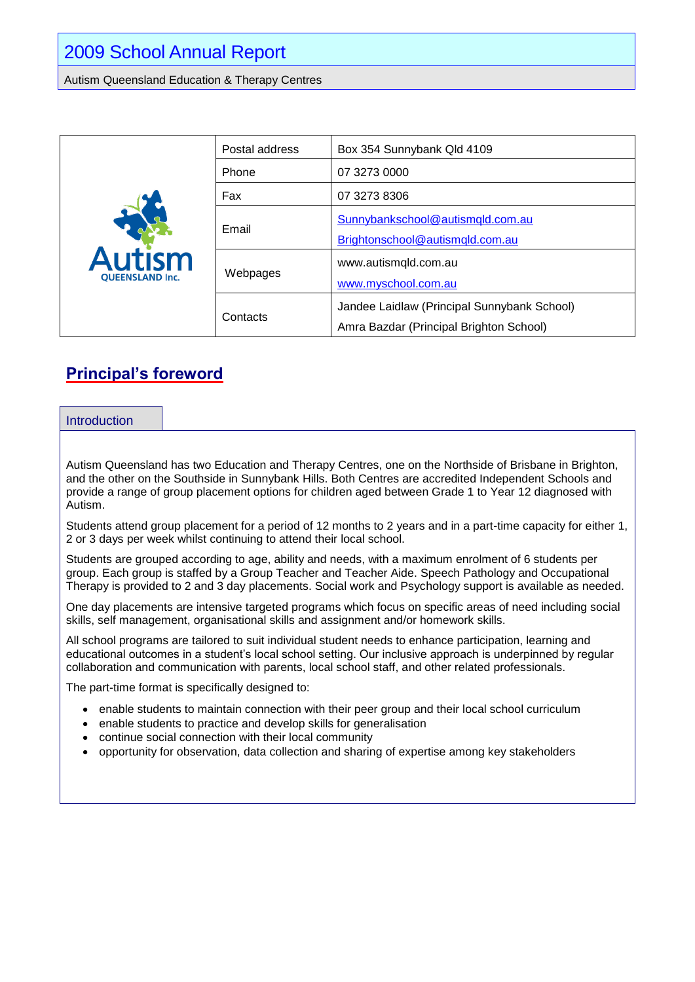Autism Queensland Education & Therapy Centres

| Autism<br><b>QUEENSLAND Inc.</b> | Postal address | Box 354 Sunnybank Qld 4109                                                             |
|----------------------------------|----------------|----------------------------------------------------------------------------------------|
|                                  | Phone          | 07 3273 0000                                                                           |
|                                  | Fax            | 07 3273 8306                                                                           |
|                                  | Email          | Sunnybankschool@autismqld.com.au<br>Brightonschool@autismqld.com.au                    |
|                                  | Webpages       | www.autismqld.com.au<br>www.myschool.com.au                                            |
|                                  | Contacts       | Jandee Laidlaw (Principal Sunnybank School)<br>Amra Bazdar (Principal Brighton School) |

## **Principal's foreword**

#### Introduction

Autism Queensland has two Education and Therapy Centres, one on the Northside of Brisbane in Brighton, and the other on the Southside in Sunnybank Hills. Both Centres are accredited Independent Schools and provide a range of group placement options for children aged between Grade 1 to Year 12 diagnosed with Autism.

Students attend group placement for a period of 12 months to 2 years and in a part-time capacity for either 1, 2 or 3 days per week whilst continuing to attend their local school.

Students are grouped according to age, ability and needs, with a maximum enrolment of 6 students per group. Each group is staffed by a Group Teacher and Teacher Aide. Speech Pathology and Occupational Therapy is provided to 2 and 3 day placements. Social work and Psychology support is available as needed.

One day placements are intensive targeted programs which focus on specific areas of need including social skills, self management, organisational skills and assignment and/or homework skills.

All school programs are tailored to suit individual student needs to enhance participation, learning and educational outcomes in a student's local school setting. Our inclusive approach is underpinned by regular collaboration and communication with parents, local school staff, and other related professionals.

The part-time format is specifically designed to:

- enable students to maintain connection with their peer group and their local school curriculum
- enable students to practice and develop skills for generalisation
- continue social connection with their local community
- opportunity for observation, data collection and sharing of expertise among key stakeholders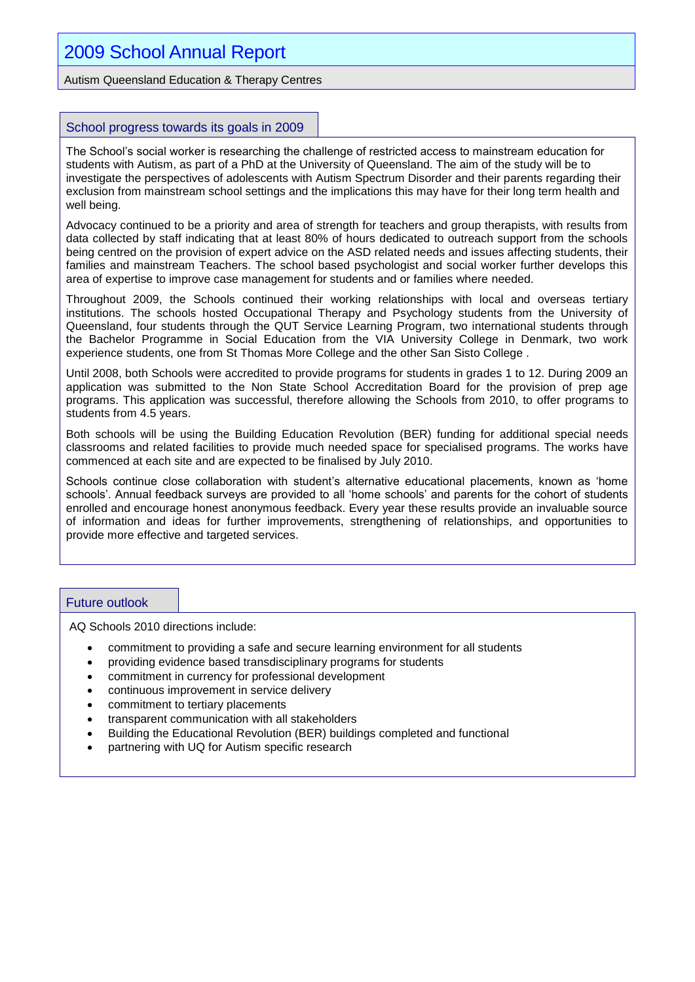## 2009 School Annual Report

Autism Queensland Education & Therapy Centres

#### School progress towards its goals in 2009

The School's social worker is researching the challenge of restricted access to mainstream education for students with Autism, as part of a PhD at the University of Queensland. The aim of the study will be to investigate the perspectives of adolescents with Autism Spectrum Disorder and their parents regarding their exclusion from mainstream school settings and the implications this may have for their long term health and well being.

Advocacy continued to be a priority and area of strength for teachers and group therapists, with results from data collected by staff indicating that at least 80% of hours dedicated to outreach support from the schools being centred on the provision of expert advice on the ASD related needs and issues affecting students, their families and mainstream Teachers. The school based psychologist and social worker further develops this area of expertise to improve case management for students and or families where needed.

Throughout 2009, the Schools continued their working relationships with local and overseas tertiary institutions. The schools hosted Occupational Therapy and Psychology students from the University of Queensland, four students through the QUT Service Learning Program, two international students through the Bachelor Programme in Social Education from the VIA University College in Denmark, two work experience students, one from St Thomas More College and the other San Sisto College .

Until 2008, both Schools were accredited to provide programs for students in grades 1 to 12. During 2009 an application was submitted to the Non State School Accreditation Board for the provision of prep age programs. This application was successful, therefore allowing the Schools from 2010, to offer programs to students from 4.5 years.

Both schools will be using the Building Education Revolution (BER) funding for additional special needs classrooms and related facilities to provide much needed space for specialised programs. The works have commenced at each site and are expected to be finalised by July 2010.

Schools continue close collaboration with student's alternative educational placements, known as 'home schools'. Annual feedback surveys are provided to all 'home schools' and parents for the cohort of students enrolled and encourage honest anonymous feedback. Every year these results provide an invaluable source of information and ideas for further improvements, strengthening of relationships, and opportunities to provide more effective and targeted services.

#### Future outlook

AQ Schools 2010 directions include:

- commitment to providing a safe and secure learning environment for all students
- providing evidence based transdisciplinary programs for students
- commitment in currency for professional development
- continuous improvement in service delivery
- commitment to tertiary placements
- transparent communication with all stakeholders
- Building the Educational Revolution (BER) buildings completed and functional
- partnering with UQ for Autism specific research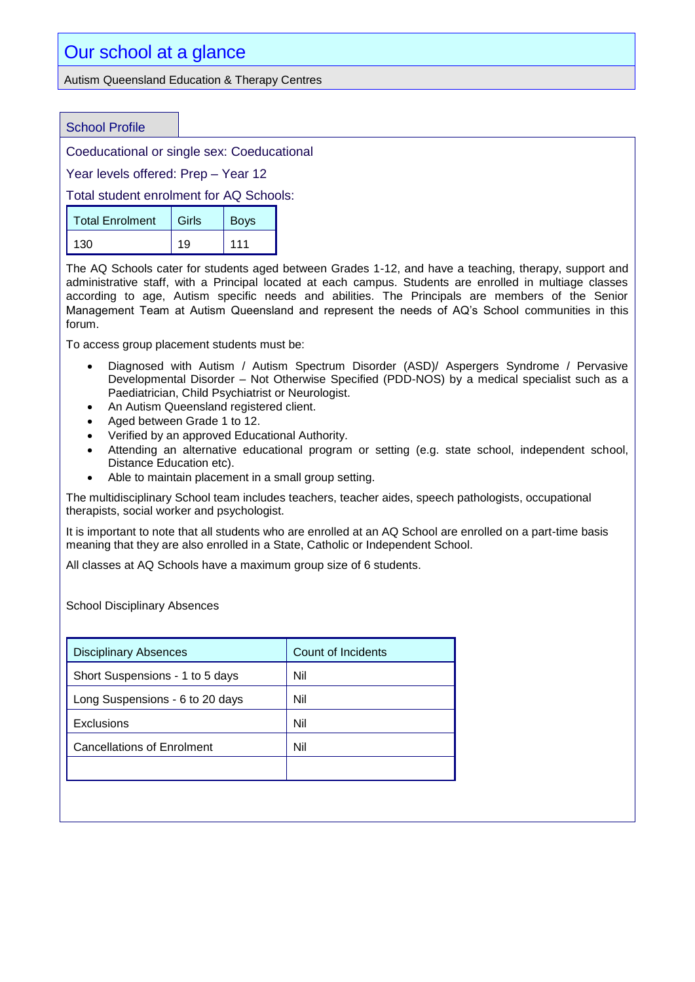#### Autism Queensland Education & Therapy Centres

#### School Profile

Coeducational or single sex: Coeducational

Year levels offered: Prep – Year 12

Total student enrolment for AQ Schools:

| <b>Total Enrolment</b> | Girls | <b>Boys</b> |
|------------------------|-------|-------------|
| 130                    | 19    | 111         |

The AQ Schools cater for students aged between Grades 1-12, and have a teaching, therapy, support and administrative staff, with a Principal located at each campus. Students are enrolled in multiage classes according to age, Autism specific needs and abilities. The Principals are members of the Senior Management Team at Autism Queensland and represent the needs of AQ's School communities in this forum.

To access group placement students must be:

- Diagnosed with Autism / Autism Spectrum Disorder (ASD)/ Aspergers Syndrome / Pervasive Developmental Disorder – Not Otherwise Specified (PDD-NOS) by a medical specialist such as a Paediatrician, Child Psychiatrist or Neurologist.
- An Autism Queensland registered client.
- Aged between Grade 1 to 12.
- Verified by an approved Educational Authority.
- Attending an alternative educational program or setting (e.g. state school, independent school, Distance Education etc).
- Able to maintain placement in a small group setting.

The multidisciplinary School team includes teachers, teacher aides, speech pathologists, occupational therapists, social worker and psychologist.

It is important to note that all students who are enrolled at an AQ School are enrolled on a part-time basis meaning that they are also enrolled in a State, Catholic or Independent School.

All classes at AQ Schools have a maximum group size of 6 students.

School Disciplinary Absences

| Count of Incidents |  |
|--------------------|--|
| Nil                |  |
| Nil                |  |
| Nil                |  |
| Nil                |  |
|                    |  |
|                    |  |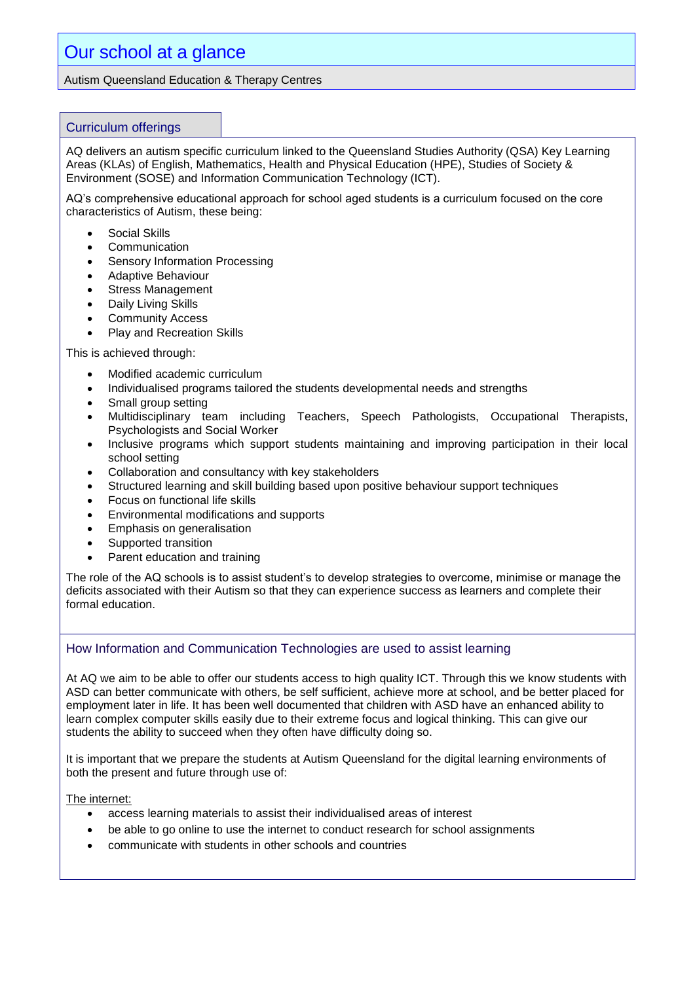Autism Queensland Education & Therapy Centres

#### Curriculum offerings

AQ delivers an autism specific curriculum linked to the Queensland Studies Authority (QSA) Key Learning Areas (KLAs) of English, Mathematics, Health and Physical Education (HPE), Studies of Society & Environment (SOSE) and Information Communication Technology (ICT).

AQ's comprehensive educational approach for school aged students is a curriculum focused on the core characteristics of Autism, these being:

- Social Skills
- **Communication**
- Sensory Information Processing
- Adaptive Behaviour
- Stress Management
- Daily Living Skills
- Community Access
- Play and Recreation Skills

This is achieved through:

- Modified academic curriculum
- Individualised programs tailored the students developmental needs and strengths
- Small group setting
- Multidisciplinary team including Teachers, Speech Pathologists, Occupational Therapists, Psychologists and Social Worker
- Inclusive programs which support students maintaining and improving participation in their local school setting
- Collaboration and consultancy with key stakeholders
- Structured learning and skill building based upon positive behaviour support techniques
- Focus on functional life skills
- Environmental modifications and supports
- **Emphasis on generalisation**
- Supported transition
- Parent education and training

The role of the AQ schools is to assist student's to develop strategies to overcome, minimise or manage the deficits associated with their Autism so that they can experience success as learners and complete their formal education.

#### How Information and Communication Technologies are used to assist learning

At AQ we aim to be able to offer our students access to high quality ICT. Through this we know students with ASD can better communicate with others, be self sufficient, achieve more at school, and be better placed for employment later in life. It has been well documented that children with ASD have an enhanced ability to learn complex computer skills easily due to their extreme focus and logical thinking. This can give our students the ability to succeed when they often have difficulty doing so.

It is important that we prepare the students at Autism Queensland for the digital learning environments of both the present and future through use of:

The internet:

- access learning materials to assist their individualised areas of interest
- be able to go online to use the internet to conduct research for school assignments
- communicate with students in other schools and countries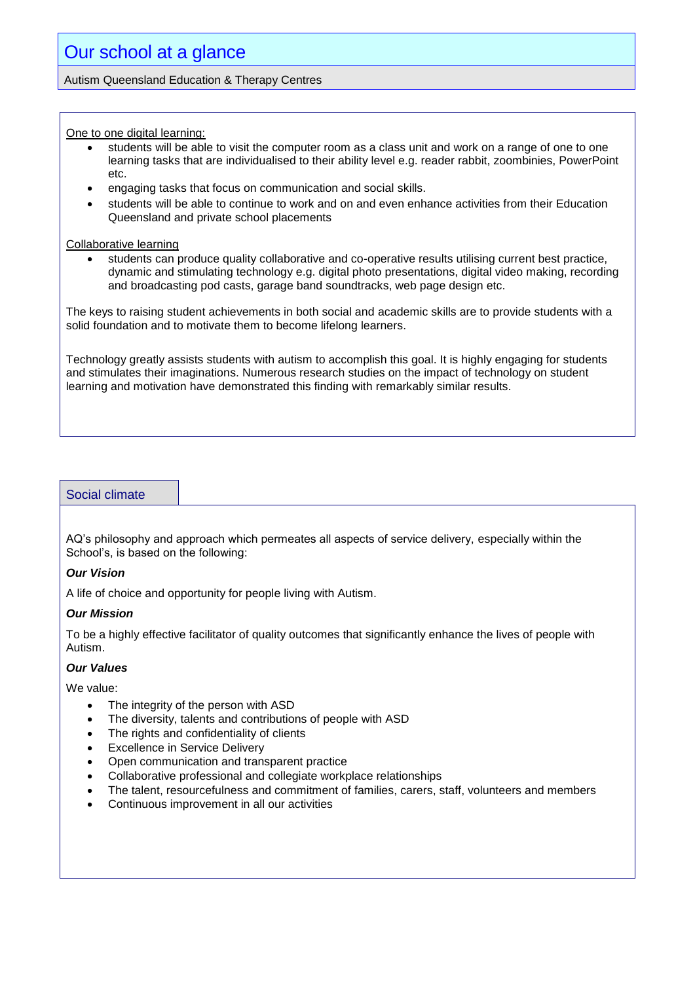Autism Queensland Education & Therapy Centres

One to one digital learning:

- students will be able to visit the computer room as a class unit and work on a range of one to one learning tasks that are individualised to their ability level e.g. reader rabbit, zoombinies, PowerPoint etc.
- engaging tasks that focus on communication and social skills.
- students will be able to continue to work and on and even enhance activities from their Education Queensland and private school placements

Collaborative learning

 students can produce quality collaborative and co-operative results utilising current best practice, dynamic and stimulating technology e.g. digital photo presentations, digital video making, recording and broadcasting pod casts, garage band soundtracks, web page design etc.

The keys to raising student achievements in both social and academic skills are to provide students with a solid foundation and to motivate them to become lifelong learners.

Technology greatly assists students with autism to accomplish this goal. It is highly engaging for students and stimulates their imaginations. Numerous research studies on the impact of technology on student learning and motivation have demonstrated this finding with remarkably similar results.

#### Social climate

AQ's philosophy and approach which permeates all aspects of service delivery, especially within the School's, is based on the following:

#### *Our Vision*

A life of choice and opportunity for people living with Autism.

#### *Our Mission*

To be a highly effective facilitator of quality outcomes that significantly enhance the lives of people with Autism.

#### *Our Values*

We value:

- The integrity of the person with ASD
- The diversity, talents and contributions of people with ASD
- The rights and confidentiality of clients
- Excellence in Service Delivery
- Open communication and transparent practice
- Collaborative professional and collegiate workplace relationships
- The talent, resourcefulness and commitment of families, carers, staff, volunteers and members
- Continuous improvement in all our activities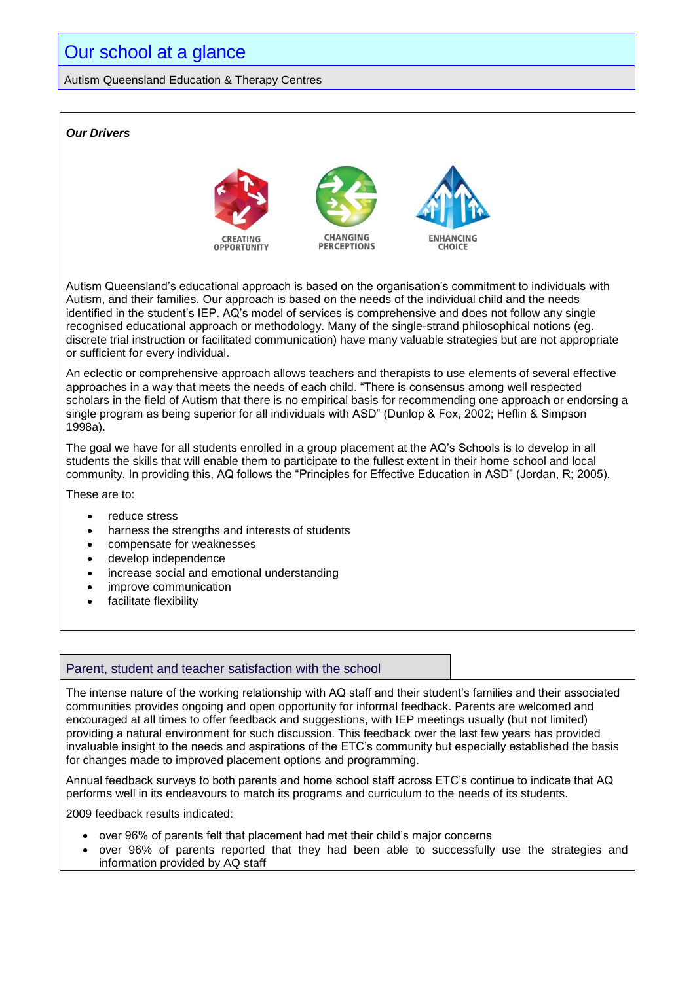#### Autism Queensland Education & Therapy Centres

### *Our Drivers* **CHANGING ENHANCING PERCEPTIONS OPPORTUNITY CHOICE** Autism Queensland's educational approach is based on the organisation's commitment to individuals with Autism, and their families. Our approach is based on the needs of the individual child and the needs identified in the student's IEP. AQ's model of services is comprehensive and does not follow any single recognised educational approach or methodology. Many of the single-strand philosophical notions (eg. discrete trial instruction or facilitated communication) have many valuable strategies but are not appropriate or sufficient for every individual. An eclectic or comprehensive approach allows teachers and therapists to use elements of several effective approaches in a way that meets the needs of each child. "There is consensus among well respected scholars in the field of Autism that there is no empirical basis for recommending one approach or endorsing a single program as being superior for all individuals with ASD" (Dunlop & Fox, 2002; Heflin & Simpson 1998a).

The goal we have for all students enrolled in a group placement at the AQ's Schools is to develop in all students the skills that will enable them to participate to the fullest extent in their home school and local community. In providing this, AQ follows the "Principles for Effective Education in ASD" (Jordan, R; 2005).

These are to:

- reduce stress
- harness the strengths and interests of students
- compensate for weaknesses
- develop independence
- increase social and emotional understanding
- improve communication
- facilitate flexibility

#### Parent, student and teacher satisfaction with the school

The intense nature of the working relationship with AQ staff and their student's families and their associated communities provides ongoing and open opportunity for informal feedback. Parents are welcomed and encouraged at all times to offer feedback and suggestions, with IEP meetings usually (but not limited) providing a natural environment for such discussion. This feedback over the last few years has provided invaluable insight to the needs and aspirations of the ETC's community but especially established the basis for changes made to improved placement options and programming.

Annual feedback surveys to both parents and home school staff across ETC's continue to indicate that AQ performs well in its endeavours to match its programs and curriculum to the needs of its students.

2009 feedback results indicated:

- over 96% of parents felt that placement had met their child's major concerns
- over 96% of parents reported that they had been able to successfully use the strategies and information provided by AQ staff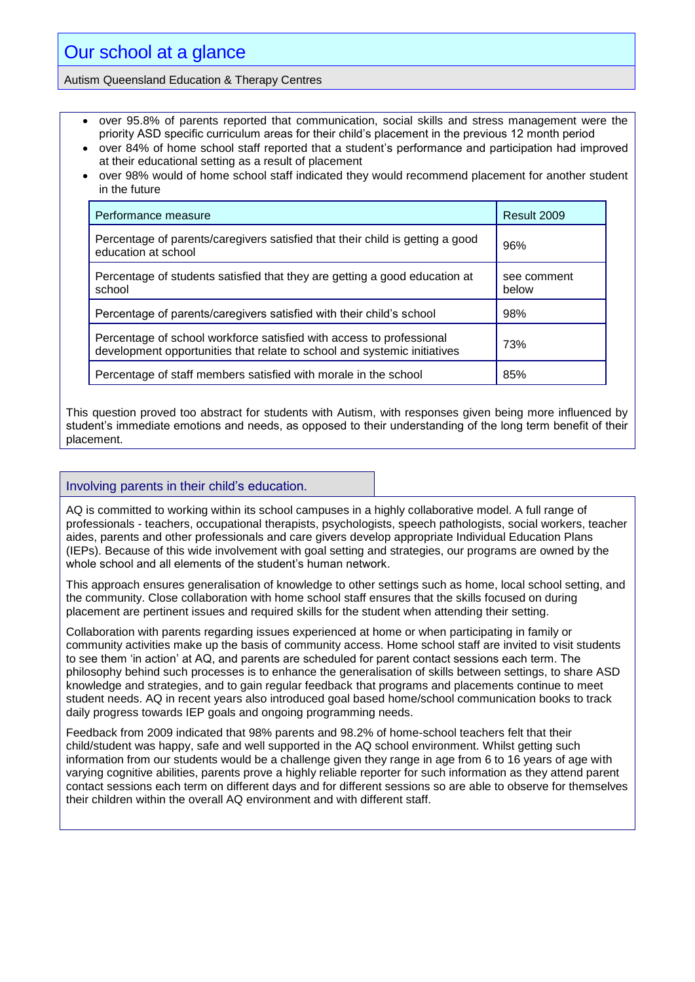#### Autism Queensland Education & Therapy Centres

- over 95.8% of parents reported that communication, social skills and stress management were the priority ASD specific curriculum areas for their child's placement in the previous 12 month period
- over 84% of home school staff reported that a student's performance and participation had improved at their educational setting as a result of placement
- over 98% would of home school staff indicated they would recommend placement for another student in the future

| Performance measure                                                                                                                              | Result 2009          |
|--------------------------------------------------------------------------------------------------------------------------------------------------|----------------------|
| Percentage of parents/caregivers satisfied that their child is getting a good<br>education at school                                             | 96%                  |
| Percentage of students satisfied that they are getting a good education at<br>school                                                             | see comment<br>below |
| Percentage of parents/caregivers satisfied with their child's school                                                                             | 98%                  |
| Percentage of school workforce satisfied with access to professional<br>development opportunities that relate to school and systemic initiatives | 73%                  |
| Percentage of staff members satisfied with morale in the school                                                                                  | 85%                  |

This question proved too abstract for students with Autism, with responses given being more influenced by student's immediate emotions and needs, as opposed to their understanding of the long term benefit of their placement.

#### Involving parents in their child's education.

AQ is committed to working within its school campuses in a highly collaborative model. A full range of professionals - teachers, occupational therapists, psychologists, speech pathologists, social workers, teacher aides, parents and other professionals and care givers develop appropriate Individual Education Plans (IEPs). Because of this wide involvement with goal setting and strategies, our programs are owned by the whole school and all elements of the student's human network.

This approach ensures generalisation of knowledge to other settings such as home, local school setting, and the community. Close collaboration with home school staff ensures that the skills focused on during placement are pertinent issues and required skills for the student when attending their setting.

Collaboration with parents regarding issues experienced at home or when participating in family or community activities make up the basis of community access. Home school staff are invited to visit students to see them 'in action' at AQ, and parents are scheduled for parent contact sessions each term. The philosophy behind such processes is to enhance the generalisation of skills between settings, to share ASD knowledge and strategies, and to gain regular feedback that programs and placements continue to meet student needs. AQ in recent years also introduced goal based home/school communication books to track daily progress towards IEP goals and ongoing programming needs.

Feedback from 2009 indicated that 98% parents and 98.2% of home-school teachers felt that their child/student was happy, safe and well supported in the AQ school environment. Whilst getting such information from our students would be a challenge given they range in age from 6 to 16 years of age with varying cognitive abilities, parents prove a highly reliable reporter for such information as they attend parent contact sessions each term on different days and for different sessions so are able to observe for themselves their children within the overall AQ environment and with different staff.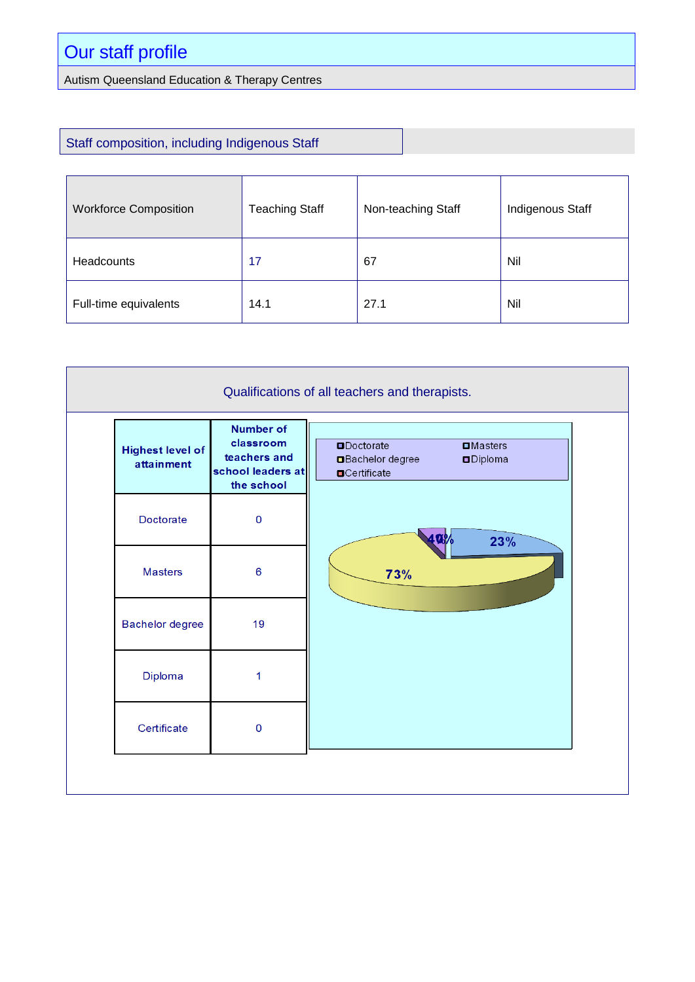# Our staff profile

Autism Queensland Education & Therapy Centres

### Staff composition, including Indigenous Staff

| <b>Workforce Composition</b> | <b>Teaching Staff</b> | Non-teaching Staff | <b>Indigenous Staff</b> |
|------------------------------|-----------------------|--------------------|-------------------------|
| <b>Headcounts</b>            | 17                    | 67                 | Nil                     |
| Full-time equivalents        | 14.1                  | 27.1               | Nil                     |

| Qualifications of all teachers and therapists. |                                                                                  |                                                                                                             |
|------------------------------------------------|----------------------------------------------------------------------------------|-------------------------------------------------------------------------------------------------------------|
| <b>Highest level of</b><br>attainment          | <b>Number of</b><br>classroom<br>teachers and<br>school leaders at<br>the school | <b>ODoctorate</b><br>$\square$ Masters<br><b>Bachelor</b> degree<br><b>ODiploma</b><br><b>O</b> Certificate |
| Doctorate                                      | $\mathbf 0$                                                                      | 23%                                                                                                         |
| <b>Masters</b>                                 | $6\phantom{1}6$                                                                  | 73%                                                                                                         |
| Bachelor degree                                | 19                                                                               |                                                                                                             |
| Diploma                                        | 1                                                                                |                                                                                                             |
| Certificate                                    | $\mathbf 0$                                                                      |                                                                                                             |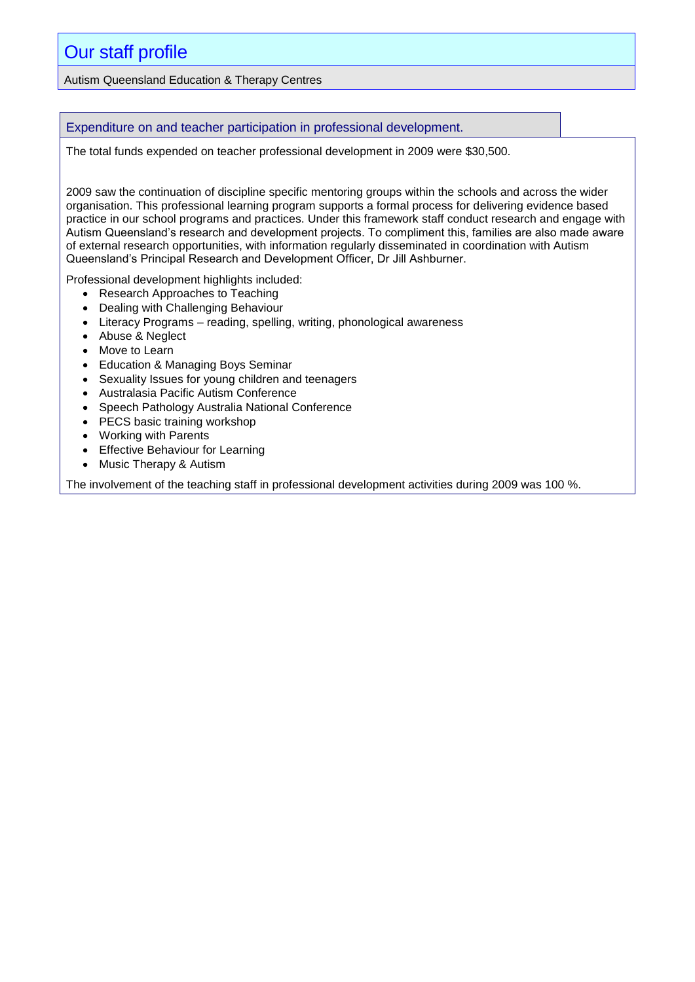## Our staff profile

Autism Queensland Education & Therapy Centres

Expenditure on and teacher participation in professional development.

The total funds expended on teacher professional development in 2009 were \$30,500.

2009 saw the continuation of discipline specific mentoring groups within the schools and across the wider organisation. This professional learning program supports a formal process for delivering evidence based practice in our school programs and practices. Under this framework staff conduct research and engage with Autism Queensland's research and development projects. To compliment this, families are also made aware of external research opportunities, with information regularly disseminated in coordination with Autism Queensland's Principal Research and Development Officer, Dr Jill Ashburner.

Professional development highlights included:

- Research Approaches to Teaching
- Dealing with Challenging Behaviour
- Literacy Programs reading, spelling, writing, phonological awareness
- Abuse & Neglect
- Move to Learn
- Education & Managing Boys Seminar
- Sexuality Issues for young children and teenagers
- Australasia Pacific Autism Conference
- Speech Pathology Australia National Conference
- PECS basic training workshop
- Working with Parents
- Effective Behaviour for Learning
- Music Therapy & Autism

The involvement of the teaching staff in professional development activities during 2009 was 100 %.